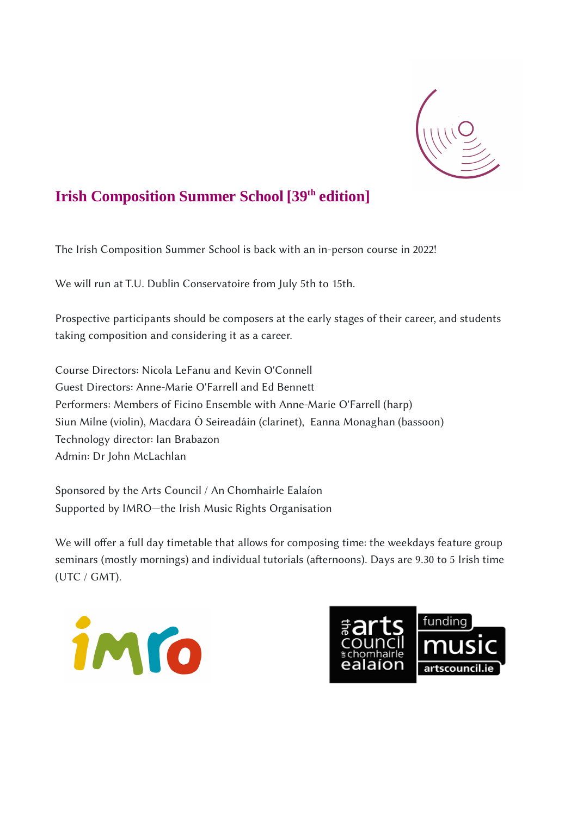

# **Irish Composition Summer School [39th edition]**

The Irish Composition Summer School is back with an in-person course in 2022!

We will run at T.U. Dublin Conservatoire from July 5th to 15th.

Prospective participants should be composers at the early stages of their career, and students taking composition and considering it as a career.

Course Directors: Nicola LeFanu and Kevin O'Connell Guest Directors: Anne-Marie O'Farrell and Ed Bennett Performers: Members of Ficino Ensemble with Anne-Marie O'Farrell (harp) Siun Milne (violin), Macdara Ó Seireadáin (clarinet), Eanna Monaghan (bassoon) Technology director: Ian Brabazon Admin: Dr John McLachlan

Sponsored by the Arts Council / An Chomhairle Ealaíon Supported by IMRO—the Irish Music Rights Organisation

We will offer a full day timetable that allows for composing time: the weekdays feature group seminars (mostly mornings) and individual tutorials (afternoons). Days are 9.30 to 5 Irish time (UTC / GMT).



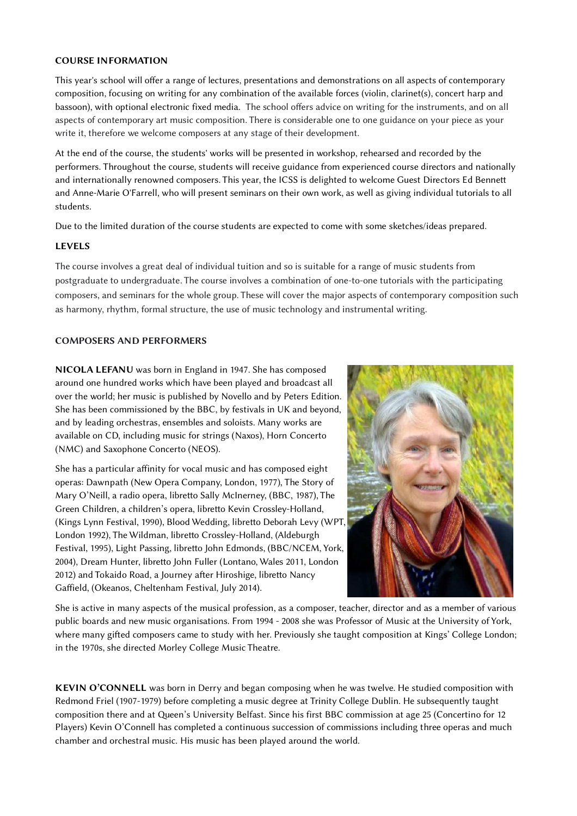### **COURSE INFORMATION**

This year's school will offer a range of lectures, presentations and demonstrations on all aspects of contemporary composition, focusing on writing for any combination of the available forces (violin, clarinet(s), concert harp and bassoon), with optional electronic fixed media. The school offers advice on writing for the instruments, and on all aspects of contemporary art music composition. There is considerable one to one guidance on your piece as your write it, therefore we welcome composers at any stage of their development.

At the end of the course, the students' works will be presented in workshop, rehearsed and recorded by the performers. Throughout the course, students will receive guidance from experienced course directors and nationally and internationally renowned composers. This year, the ICSS is delighted to welcome Guest Directors Ed Bennett and Anne-Marie O'Farrell, who will present seminars on their own work, as well as giving individual tutorials to all students.

Due to the limited duration of the course students are expected to come with some sketches/ideas prepared.

## **LEVELS**

The course involves a great deal of individual tuition and so is suitable for a range of music students from postgraduate to undergraduate. The course involves a combination of one-to-one tutorials with the participating composers, and seminars for the whole group. These will cover the major aspects of contemporary composition such as harmony, rhythm, formal structure, the use of music technology and instrumental writing.

### **COMPOSERS AND PERFORMERS**

**NICOLA LEFANU** was born in England in 1947. She has composed around one hundred works which have been played and broadcast all over the world; her music is published by Novello and by Peters Edition. She has been commissioned by the BBC, by festivals in UK and beyond, and by leading orchestras, ensembles and soloists. Many works are available on CD, including music for strings (Naxos), Horn Concerto (NMC) and Saxophone Concerto (NEOS).

She has a particular affinity for vocal music and has composed eight operas: Dawnpath (New Opera Company, London, 1977), The Story of Mary O'Neill, a radio opera, libretto Sally McInerney, (BBC, 1987), The Green Children, a children's opera, libretto Kevin Crossley-Holland, (Kings Lynn Festival, 1990), Blood Wedding, libretto Deborah Levy (WPT, London 1992), The Wildman, libretto Crossley-Holland, (Aldeburgh Festival, 1995), Light Passing, libretto John Edmonds, (BBC/NCEM, York, 2004), Dream Hunter, libretto John Fuller (Lontano, Wales 2011, London 2012) and Tokaido Road, a Journey after Hiroshige, libretto Nancy Gaffield, (Okeanos, Cheltenham Festival, July 2014).



She is active in many aspects of the musical profession, as a composer, teacher, director and as a member of various public boards and new music organisations. From 1994 - 2008 she was Professor of Music at the University of York, where many gifted composers came to study with her. Previously she taught composition at Kings' College London; in the 1970s, she directed Morley College Music Theatre.

**KEVIN O'CONNELL** was born in Derry and began composing when he was twelve. He studied composition with Redmond Friel (1907-1979) before completing a music degree at Trinity College Dublin. He subsequently taught composition there and at Queen's University Belfast. Since his first BBC commission at age 25 (Concertino for 12 Players) Kevin O'Connell has completed a continuous succession of commissions including three operas and much chamber and orchestral music. His music has been played around the world.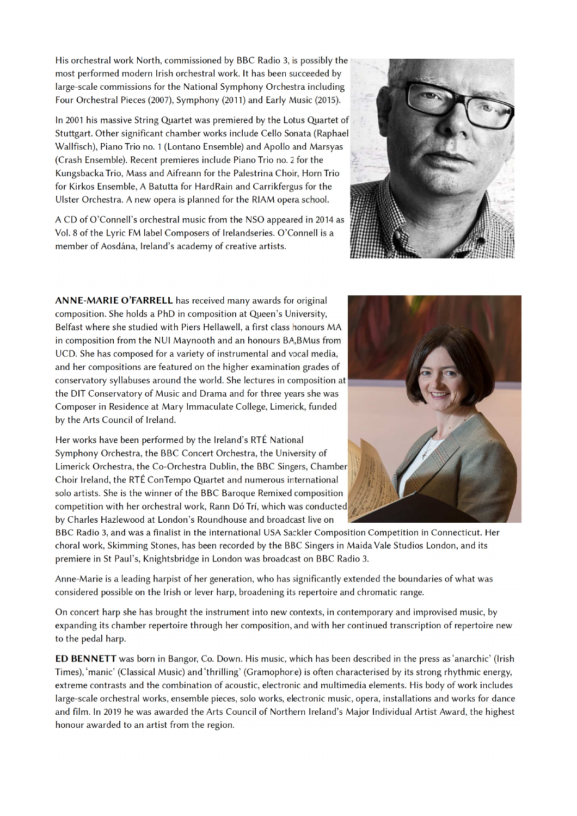His orchestral work North, commissioned by BBC Radio 3, is possibly the most performed modern Irish orchestral work. It has been succeeded by large-scale commissions for the National Symphony Orchestra including Four Orchestral Pieces (2007), Symphony (2011) and Early Music (2015).

In 2001 his massive String Quartet was premiered by the Lotus Quartet of Stuttgart. Other significant chamber works include Cello Sonata (Raphael Wallfisch), Piano Trio no. 1 (Lontano Ensemble) and Apollo and Marsyas (Crash Ensemble). Recent premieres include Piano Trio no. 2 for the Kungsbacka Trio, Mass and Aifreann for the Palestrina Choir, Horn Trio for Kirkos Ensemble, A Batutta for HardRain and Carrikfergus for the Ulster Orchestra. A new opera is planned for the RIAM opera school.

A CD of O'Connell's orchestral music from the NSO appeared in 2014 as Vol. 8 of the Lyric FM label Composers of Irelandseries. O'Connell is a member of Aosdána, Ireland's academy of creative artists.

ANNE-MARIE O'FARRELL has received many awards for original composition. She holds a PhD in composition at Queen's University, Belfast where she studied with Piers Hellawell, a first class honours MA in composition from the NUI Maynooth and an honours BA, BMus from UCD. She has composed for a variety of instrumental and vocal media, and her compositions are featured on the higher examination grades of conservatory syllabuses around the world. She lectures in composition at the DIT Conservatory of Music and Drama and for three years she was Composer in Residence at Mary Immaculate College, Limerick, funded by the Arts Council of Ireland.

Her works have been performed by the Ireland's RTÉ National Symphony Orchestra, the BBC Concert Orchestra, the University of Limerick Orchestra, the Co-Orchestra Dublin, the BBC Singers, Chamber Choir Ireland, the RTÉ ConTempo Quartet and numerous international solo artists. She is the winner of the BBC Baroque Remixed composition competition with her orchestral work, Rann Dó Trí, which was conducted by Charles Hazlewood at London's Roundhouse and broadcast live on

BBC Radio 3, and was a finalist in the international USA Sackler Composition Competition in Connecticut. Her choral work, Skimming Stones, has been recorded by the BBC Singers in Maida Vale Studios London, and its premiere in St Paul's, Knightsbridge in London was broadcast on BBC Radio 3.

Anne-Marie is a leading harpist of her generation, who has significantly extended the boundaries of what was considered possible on the Irish or lever harp, broadening its repertoire and chromatic range.

On concert harp she has brought the instrument into new contexts, in contemporary and improvised music, by expanding its chamber repertoire through her composition, and with her continued transcription of repertoire new to the pedal harp.

ED BENNETT was born in Bangor, Co. Down. His music, which has been described in the press as 'anarchic' (Irish Times), 'manic' (Classical Music) and 'thrilling' (Gramophone) is often characterised by its strong rhythmic energy, extreme contrasts and the combination of acoustic, electronic and multimedia elements. His body of work includes large-scale orchestral works, ensemble pieces, solo works, electronic music, opera, installations and works for dance and film. In 2019 he was awarded the Arts Council of Northern Ireland's Major Individual Artist Award, the highest honour awarded to an artist from the region.